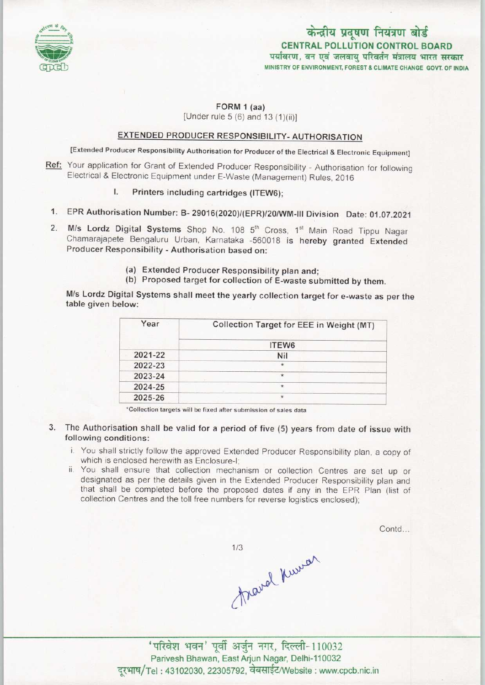

# CENTRAL POLLUTION CONTROL BOARD<br>पर्यावरण, वन एवं जलवायु परिवर्तन मंत्रालय भारत सरकार MINISTRY OF ENVIRONMENT, FOREST & CLIMATE CHANGE GOVT, OF INDIA

### FORM 1 (aa)

[Under rule  $5(6)$  and  $13(1)(ii)$ ]

## EXTENDED PRODUCER RESPONSIBILITY- AUTHORISATION

[Extended Producer Responsibility Authorisation for Producer of the Electrical & Electronic Equipment]

- Ref: Your application for Grant of Extended Producer Responsibility Authorisation for following Electrical & Electronic Equipment under E-Waste (Management) Rules, 2016
	- I. Printers including cartridges (ITEW6):
	- 1.EPR Authorisation Number: B- 29016(2020)/(EPR)/20/WM-lll Division Date: 01.07.2021
- 2. M/s Lordz Digital Systems Shop No. 108 5<sup>th</sup> Cross, 1<sup>st</sup> Main Road Tippu Nagar Chamarajapete Bengaluru Urban, Karnataka -560018 is hereby granted Extended Producer Responsibility - Authorisation based on:
	- (a)Extended Producer Responsibility plan and;
	- (b) Proposed target for collection of E-waste submitted by them.

M/s Lordz Digital Systems shall meet the yearly collection target for e-waste as per the table given below:

| Year    | Collection Target for EEE in Weight (MT) |
|---------|------------------------------------------|
|         | ITEW6                                    |
| 2021-22 | Nil                                      |
| 2022-23 | $\star$                                  |
| 2023-24 | $\star$                                  |
| 2024-25 | $\star$                                  |
| 2025-26 | $\star$                                  |

'Collection targets will be fixed aftersubmission of sales data

- 3. The Authorisation shall be valid for a period of five (5) years from date of issue with following conditions:
	- i. You shall strictly follow the approved Extended Producer Responsibility plan, a copy of which is enclosed herewith as Enclosure-I;
	- ii. You shall ensure that collection mechanism or collection Centres are set up or designated as per the details given in the Extended Producer Responsibility plan and that shall be completed before the proposed dates if any in the EPR Plan (list of collection Centres and the toll free numbers for reverse logistics enclosed);

Contd...

 $1/3$ 

Travel Kurrer

'परिवेश भवन' पूर्वी अर्जुन नगर, दिल्ली-110032 Parivesh Bhawan, East Arjun Nagar, Delhi-110032 दूरभाष/Tel: 43102030, 22305792, वेबसाईट/Website : www.cpcb.nic.in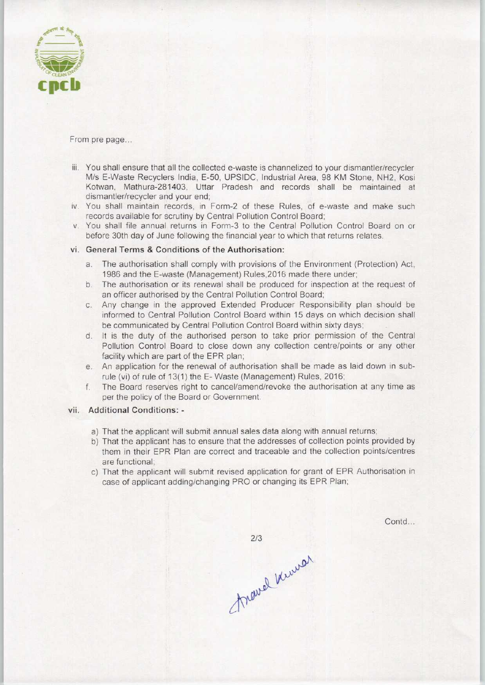

From pre page...

- iii. You shall ensure that all the collected e-waste is channelized to your dismantler/recycler M/s E-Waste Recyclers India, E-50, UPSIDC, Industrial Area, 98 KM Stone, NH2, Kosi Kotwan, Mathura-281403, Uttar Pradesh and records shall be maintained at dismantler/recycler and your end;
- iv. You shall maintain records, in Form-2 of these Rules, of e-waste and make such records available for scrutiny by Central Pollution Control Board;
- v. You shall file annual returns in Form-3 to the Central Pollution Control Board on or before 30th day of June following the financial year to which that returns relates.

#### vi. General Terms & Conditions of the Authorisation:

- a.The authorisation shall comply with provisions of the Environment {Protection) Act, 1986 and the E-waste (Management) Rules,2016 made there under;
- b. The authorisation or its renewal shall be produced for inspection at the request of an officer authorised by the Central Pollution Control Board;
- c.Any change in the approved Extended Producer Responsibility plan should be informed to Central Pollution Control Board within 15 days on which decision shall be communicated by Central Pollution Control Board within sixty days;
- d. It is the duty of the authorised person to take prior permission of the Central Pollution Control Board to close down any collection centre/points or any other facility which are part of the EPR plan;
- e.An application for the renewal of authorisation shall be made as laid down in subrule (vi) of rule of 13(1) the E-Waste (Management) Rules, 2016;
- f.The Board reserves right to cancel/amend/revoke the authorisation at any time as perthe policy of the Board or Government.

#### vii. Additional Conditions: -

- a) That the applicant will submit annual sales data along with annual returns;
- b)That the applicant has to ensure that the addresses of collection points provided by them in their EPR Plan are correct and traceable and the collection points/centres are functional;
- c) That the applicant will submit revised application for grant of EPR Authorisation in case of applicant adding/changing PRO or changing its EPR Plan;

Contd...

 $2/3$ Travel Kinner